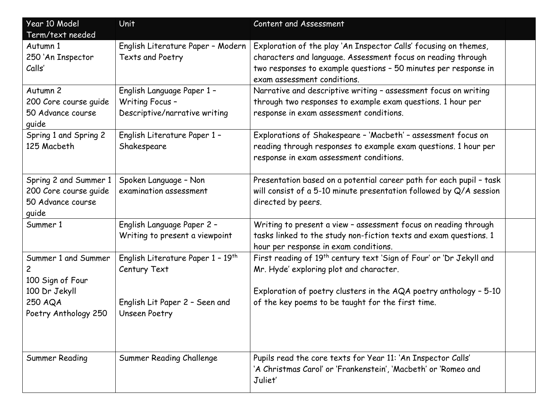| Year 10 Model                                                                                               | <b>Unit</b>                                                                                                      | Content and Assessment                                                                                                                                                                                                                               |  |
|-------------------------------------------------------------------------------------------------------------|------------------------------------------------------------------------------------------------------------------|------------------------------------------------------------------------------------------------------------------------------------------------------------------------------------------------------------------------------------------------------|--|
| Term/text needed                                                                                            |                                                                                                                  |                                                                                                                                                                                                                                                      |  |
| Autumn 1<br>250 'An Inspector<br>Calls'                                                                     | English Literature Paper - Modern<br>Texts and Poetry                                                            | Exploration of the play 'An Inspector Calls' focusing on themes,<br>characters and language. Assessment focus on reading through<br>two responses to example questions - 50 minutes per response in<br>exam assessment conditions.                   |  |
| Autumn 2<br>200 Core course guide<br>50 Advance course<br>guide                                             | English Language Paper 1 -<br>Writing Focus -<br>Descriptive/narrative writing                                   | Narrative and descriptive writing - assessment focus on writing<br>through two responses to example exam questions. 1 hour per<br>response in exam assessment conditions.                                                                            |  |
| Spring 1 and Spring 2<br>125 Macbeth                                                                        | English Literature Paper 1 -<br>Shakespeare                                                                      | Explorations of Shakespeare - 'Macbeth' - assessment focus on<br>reading through responses to example exam questions. 1 hour per<br>response in exam assessment conditions.                                                                          |  |
| Spring 2 and Summer 1<br>200 Core course quide<br>50 Advance course<br>guide                                | Spoken Language - Non<br>examination assessment                                                                  | Presentation based on a potential career path for each pupil - task<br>will consist of a 5-10 minute presentation followed by Q/A session<br>directed by peers.                                                                                      |  |
| Summer 1                                                                                                    | English Language Paper 2 -<br>Writing to present a viewpoint                                                     | Writing to present a view - assessment focus on reading through<br>tasks linked to the study non-fiction texts and exam questions. 1<br>hour per response in exam conditions.                                                                        |  |
| Summer 1 and Summer<br>$\mathbf{2}$<br>100 Sign of Four<br>100 Dr Jekyll<br>250 AQA<br>Poetry Anthology 250 | English Literature Paper 1 - 19 <sup>th</sup><br>Century Text<br>English Lit Paper 2 - Seen and<br>Unseen Poetry | First reading of 19 <sup>th</sup> century text 'Sign of Four' or 'Dr Jekyll and<br>Mr. Hyde' exploring plot and character.<br>Exploration of poetry clusters in the AQA poetry anthology - 5-10<br>of the key poems to be taught for the first time. |  |
| <b>Summer Reading</b>                                                                                       | Summer Reading Challenge                                                                                         | Pupils read the core texts for Year 11: 'An Inspector Calls'<br>'A Christmas Carol' or 'Frankenstein', 'Macbeth' or 'Romeo and<br>Juliet'                                                                                                            |  |